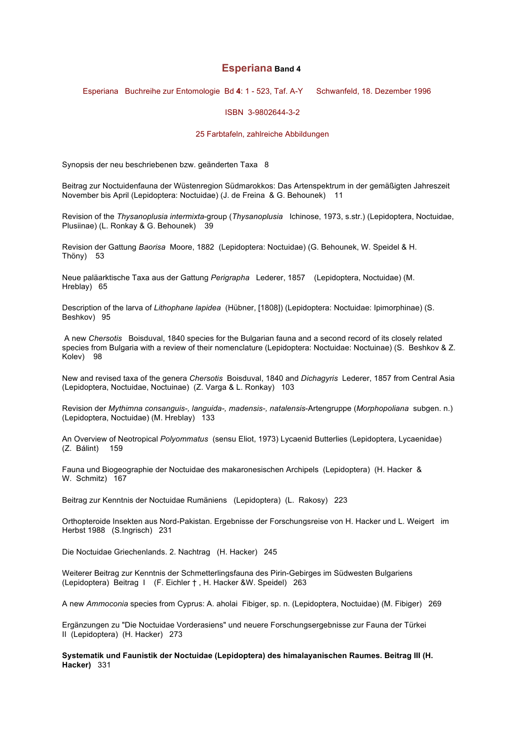# **Esperiana Band 4**

Esperiana Buchreihe zur Entomologie Bd **4**: 1 - 523, Taf. A-Y Schwanfeld, 18. Dezember 1996

## ISBN 3-9802644-3-2

### 25 Farbtafeln, zahlreiche Abbildungen

Synopsis der neu beschriebenen bzw. geänderten Taxa 8

Beitrag zur Noctuidenfauna der Wüstenregion Südmarokkos: Das Artenspektrum in der gemäßigten Jahreszeit November bis April (Lepidoptera: Noctuidae) (J. de Freina & G. Behounek) 11

Revision of the *Thysanoplusia intermixta*-group (*Thysanoplusia* Ichinose, 1973, s.str.) (Lepidoptera, Noctuidae, Plusiinae) (L. Ronkay & G. Behounek) 39

Revision der Gattung *Baorisa* Moore, 1882 (Lepidoptera: Noctuidae) (G. Behounek, W. Speidel & H. Thöny) 53

Neue paläarktische Taxa aus der Gattung *Perigrapha* Lederer, 1857 (Lepidoptera, Noctuidae) (M. Hreblay) 65

Description of the larva of *Lithophane lapidea* (Hübner, [1808]) (Lepidoptera: Noctuidae: Ipimorphinae) (S. Beshkov) 95

A new *Chersotis* Boisduval, 1840 species for the Bulgarian fauna and a second record of its closely related species from Bulgaria with a review of their nomenclature (Lepidoptera: Noctuidae: Noctuinae) (S. Beshkov & Z. Kolev) 98

New and revised taxa of the genera *Chersotis* Boisduval, 1840 and *Dichagyris* Lederer, 1857 from Central Asia (Lepidoptera, Noctuidae, Noctuinae) (Z. Varga & L. Ronkay) 103

Revision der *Mythimna consanguis-, languida-, madensis-, natalensis*-Artengruppe (*Morphopoliana* subgen. n.) (Lepidoptera, Noctuidae) (M. Hreblay) 133

An Overview of Neotropical *Polyommatus* (sensu Eliot, 1973) Lycaenid Butterlies (Lepidoptera, Lycaenidae) (Z. Bálint) 159

Fauna und Biogeographie der Noctuidae des makaronesischen Archipels (Lepidoptera) (H. Hacker & W. Schmitz) 167

Beitrag zur Kenntnis der Noctuidae Rumäniens (Lepidoptera) (L. Rakosy) 223

Orthopteroide Insekten aus Nord-Pakistan. Ergebnisse der Forschungsreise von H. Hacker und L. Weigert im Herbst 1988 (S.Ingrisch) 231

Die Noctuidae Griechenlands. 2. Nachtrag (H. Hacker) 245

Weiterer Beitrag zur Kenntnis der Schmetterlingsfauna des Pirin-Gebirges im Südwesten Bulgariens (Lepidoptera) Beitrag I (F. Eichler † , H. Hacker &W. Speidel) 263

A new *Ammoconia* species from Cyprus: A. aholai Fibiger, sp. n. (Lepidoptera, Noctuidae) (M. Fibiger) 269

Ergänzungen zu "Die Noctuidae Vorderasiens" und neuere Forschungsergebnisse zur Fauna der Türkei II (Lepidoptera) (H. Hacker) 273

**Systematik und Faunistik der Noctuidae (Lepidoptera) des himalayanischen Raumes. Beitrag III (H. Hacker)** 331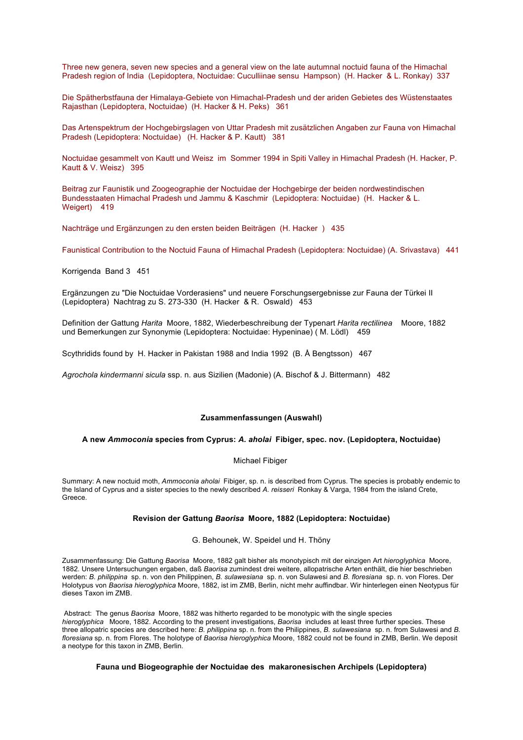Three new genera, seven new species and a general view on the late autumnal noctuid fauna of the Himachal Pradesh region of India (Lepidoptera, Noctuidae: Cuculliinae sensu Hampson) (H. Hacker & L. Ronkay) 337

Die Spätherbstfauna der Himalaya-Gebiete von Himachal-Pradesh und der ariden Gebietes des Wüstenstaates Rajasthan (Lepidoptera, Noctuidae) (H. Hacker & H. Peks) 361

Das Artenspektrum der Hochgebirgslagen von Uttar Pradesh mit zusätzlichen Angaben zur Fauna von Himachal Pradesh (Lepidoptera: Noctuidae) (H. Hacker & P. Kautt) 381

Noctuidae gesammelt von Kautt und Weisz im Sommer 1994 in Spiti Valley in Himachal Pradesh (H. Hacker, P. Kautt & V. Weisz) 395

Beitrag zur Faunistik und Zoogeographie der Noctuidae der Hochgebirge der beiden nordwestindischen Bundesstaaten Himachal Pradesh und Jammu & Kaschmir (Lepidoptera: Noctuidae) (H. Hacker & L. Weigert) 419

Nachträge und Ergänzungen zu den ersten beiden Beiträgen (H. Hacker ) 435

Faunistical Contribution to the Noctuid Fauna of Himachal Pradesh (Lepidoptera: Noctuidae) (A. Srivastava) 441

Korrigenda Band 3 451

Ergänzungen zu "Die Noctuidae Vorderasiens" und neuere Forschungsergebnisse zur Fauna der Türkei II (Lepidoptera) Nachtrag zu S. 273-330 (H. Hacker & R. Oswald) 453

Definition der Gattung *Harita* Moore, 1882, Wiederbeschreibung der Typenart *Harita rectilinea* Moore, 1882 und Bemerkungen zur Synonymie (Lepidoptera: Noctuidae: Hypeninae) ( M. Lödl) 459

Scythridids found by H. Hacker in Pakistan 1988 and India 1992 (B. Å Bengtsson) 467

*Agrochola kindermanni sicula* ssp. n. aus Sizilien (Madonie) (A. Bischof & J. Bittermann) 482

# **Zusammenfassungen (Auswahl)**

#### **A new** *Ammoconia* **species from Cyprus:** *A. aholai* **Fibiger, spec. nov. (Lepidoptera, Noctuidae)**

#### Michael Fibiger

Summary: A new noctuid moth, *Ammoconia aholai* Fibiger, sp. n. is described from Cyprus. The species is probably endemic to the Island of Cyprus and a sister species to the newly described *A. reisseri* Ronkay & Varga, 1984 from the island Crete, Greece.

## **Revision der Gattung** *Baorisa* **Moore, 1882 (Lepidoptera: Noctuidae)**

G. Behounek, W. Speidel und H. Thöny

Zusammenfassung: Die Gattung *Baorisa* Moore, 1882 galt bisher als monotypisch mit der einzigen Art *hieroglyphica* Moore, 1882. Unsere Untersuchungen ergaben, daß *Baorisa* zumindest drei weitere, allopatrische Arten enthält, die hier beschrieben werden: *B. philippina* sp. n. von den Philippinen, *B. sulawesiana* sp. n. von Sulawesi and *B. floresiana* sp. n. von Flores. Der Holotypus von *Baorisa hieroglyphica* Moore, 1882, ist im ZMB, Berlin, nicht mehr auffindbar. Wir hinterlegen einen Neotypus für dieses Taxon im ZMB.

Abstract: The genus *Baorisa* Moore, 1882 was hitherto regarded to be monotypic with the single species *hieroglyphica* Moore, 1882. According to the present investigations, *Baorisa* includes at least three further species. These three allopatric species are described here: *B. philippina* sp. n. from the Philippines, *B. sulawesiana* sp. n. from Sulawesi and *B. floresiana* sp. n. from Flores. The holotype of *Baorisa hieroglyphica* Moore, 1882 could not be found in ZMB, Berlin. We deposit a neotype for this taxon in ZMB, Berlin.

## **Fauna und Biogeographie der Noctuidae des makaronesischen Archipels (Lepidoptera)**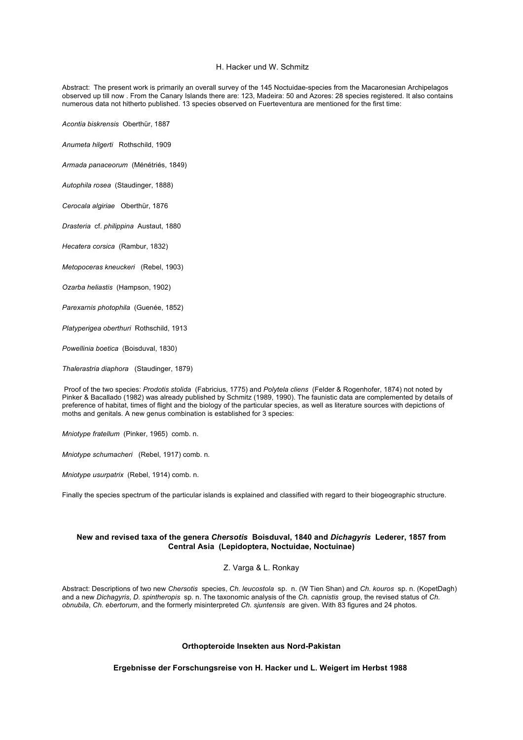#### H. Hacker und W. Schmitz

Abstract: The present work is primarily an overall survey of the 145 Noctuidae-species from the Macaronesian Archipelagos observed up till now . From the Canary Islands there are: 123, Madeira: 50 and Azores: 28 species registered. It also contains numerous data not hitherto published. 13 species observed on Fuerteventura are mentioned for the first time:

*Acontia biskrensis* Oberthür, 1887

*Anumeta hilgerti* Rothschild, 1909

*Armada panaceorum* (Ménétriés, 1849)

*Autophila rosea* (Staudinger, 1888)

*Cerocala algiriae* Oberthür, 1876

*Drasteria* cf. *philippina* Austaut, 1880

*Hecatera corsica* (Rambur, 1832)

*Metopoceras kneuckeri* (Rebel, 1903)

*Ozarba heliastis* (Hampson, 1902)

*Parexarnis photophila* (Guenée, 1852)

*Platyperigea oberthuri* Rothschild, 1913

*Powellinia boetica* (Boisduval, 1830)

*Thalerastria diaphora* (Staudinger, 1879)

Proof of the two species: *Prodotis stolida* (Fabricius, 1775) and *Polytela cliens* (Felder & Rogenhofer, 1874) not noted by Pinker & Bacallado (1982) was already published by Schmitz (1989, 1990). The faunistic data are complemented by details of preference of habitat, times of flight and the biology of the particular species, as well as literature sources with depictions of moths and genitals. A new genus combination is established for 3 species:

*Mniotype fratellum* (Pinker, 1965) comb. n.

*Mniotype schumacheri* (Rebel, 1917) comb. n.

*Mniotype usurpatrix* (Rebel, 1914) comb. n.

Finally the species spectrum of the particular islands is explained and classified with regard to their biogeographic structure.

## **New and revised taxa of the genera** *Chersotis* **Boisduval, 1840 and** *Dichagyris* **Lederer, 1857 from Central Asia (Lepidoptera, Noctuidae, Noctuinae)**

### Z. Varga & L. Ronkay

Abstract: Descriptions of two new *Chersotis* species, *Ch. leucostola* sp. n. (W Tien Shan) and *Ch. kouros* sp. n. (KopetDagh) and a new *Dichagyris*, *D. spintheropis* sp. n. The taxonomic analysis of the *Ch. capnistis* group, the revised status of *Ch. obnubila*, *Ch. ebertorum*, and the formerly misinterpreted *Ch. sjuntensis* are given. With 83 figures and 24 photos.

### **Orthopteroide Insekten aus Nord-Pakistan**

**Ergebnisse der Forschungsreise von H. Hacker und L. Weigert im Herbst 1988**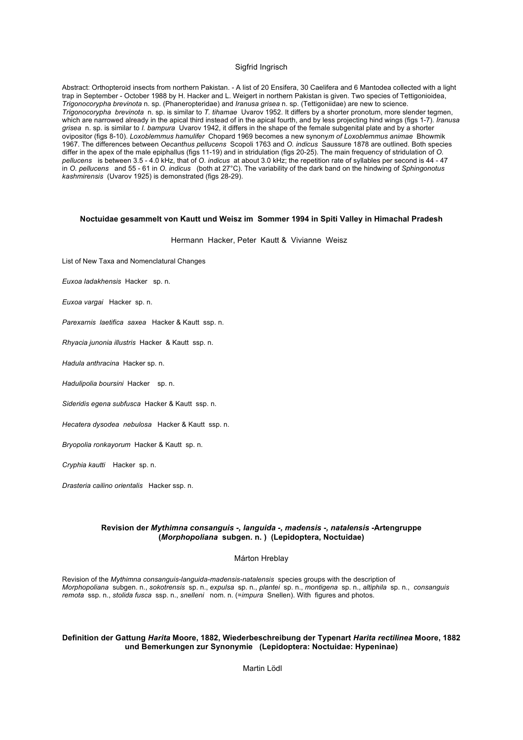### Sigfrid Ingrisch

Abstract: Orthopteroid insects from northern Pakistan. - A list of 20 Ensifera, 30 Caelifera and 6 Mantodea collected with a light trap in September - October 1988 by H. Hacker and L. Weigert in northern Pakistan is given. Two species of Tettigonioidea, *Trigonocorypha brevinota* n. sp. (Phaneropteridae) and *Iranusa grisea* n. sp. (Tettigoniidae) are new to science. *Trigonocorypha brevinota* n. sp. is similar to *T. tihamae* Uvarov 1952. It differs by a shorter pronotum, more slender tegmen, which are narrowed already in the apical third instead of in the apical fourth, and by less projecting hind wings (figs 1-7). *Iranusa grisea* n. sp. is similar to *I. bampura* Uvarov 1942, it differs in the shape of the female subgenital plate and by a shorter ovipositor (figs 8-10). *Loxoblemmus hamulifer* Chopard 1969 becomes a new synony*m of Loxoblemmus animae* Bhowmik 1967. The differences between *Oecanthus pellucens* Scopoli 1763 and *O. indicus* Saussure 1878 are outlined. Both species differ in the apex of the male epiphallus (figs 11-19) and in stridulation (figs 20-25). The main frequency of stridulation of *O. pellucens* is between 3.5 - 4.0 kHz, that of *O. indicus* at about 3.0 kHz; the repetition rate of syllables per second is 44 - 47 in *O. pellucens* and 55 - 61 in *O. indicus* (both at 27°C). The variability of the dark band on the hindwing of *Sphingonotus kashmirensis* (Uvarov 1925) is demonstrated (figs 28-29).

### **Noctuidae gesammelt von Kautt und Weisz im Sommer 1994 in Spiti Valley in Himachal Pradesh**

Hermann Hacker, Peter Kautt & Vivianne Weisz

List of New Taxa and Nomenclatural Changes

*Euxoa ladakhensis* Hacker sp. n.

*Euxoa vargai* Hacker sp. n.

*Parexarnis laetifica saxea* Hacker & Kautt ssp. n.

*Rhyacia junonia illustris* Hacker & Kautt ssp. n.

*Hadula anthracina* Hacker sp. n.

*Hadulipolia boursini* Hacker sp. n.

*Sideridis egena subfusca* Hacker & Kautt ssp. n.

*Hecatera dysodea nebulosa* Hacker & Kautt ssp. n.

*Bryopolia ronkayorum* Hacker & Kautt sp. n.

*Cryphia kautti* Hacker sp. n.

*Drasteria cailino orientalis* Hacker ssp. n.

## **Revision der** *Mythimna consanguis -, languida -, madensis -, natalensis* **-Artengruppe (***Morphopoliana* **subgen. n. ) (Lepidoptera, Noctuidae)**

## Márton Hreblay

Revision of the *Mythimna consanguis-languida-madensis-natalensis* species groups with the description of *Morphopoliana* subgen. n., *sokotrensis* sp. n., *expulsa* sp. n., *plantei* sp. n., *montigena* sp. n., *altiphila* sp. n., *consanguis remota* ssp. n., *stolida fusca* ssp. n., *snelleni* nom. n. (=*impura* Snellen). With figures and photos.

### **Definition der Gattung** *Harita* **Moore, 1882, Wiederbeschreibung der Typenart** *Harita rectilinea* **Moore, 1882 und Bemerkungen zur Synonymie (Lepidoptera: Noctuidae: Hypeninae)**

Martin Lödl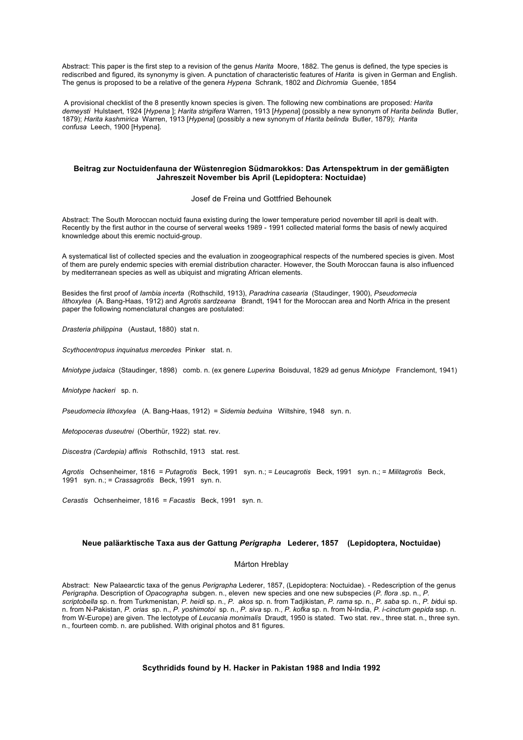Abstract: This paper is the first step to a revision of the genus *Harita* Moore, 1882. The genus is defined, the type species is rediscribed and figured, its synonymy is given. A punctation of characteristic features of *Harita* is given in German and English. The genus is proposed to be a relative of the genera *Hypena* Schrank, 1802 and *Dichromia* Guenée, 1854

A provisional checklist of the 8 presently known species is given. The following new combinations are proposed*: Harita demeysti* Hulstaert, 1924 [*Hypena* ]; *Harita strigifera* Warren, 1913 [*Hypena*] (possibly a new synonym of *Harita belinda* Butler, 1879); *Harita kashmirica* Warren, 1913 [*Hypena*] (possibly a new synonym of *Harita belinda* Butler, 1879); *Harita confusa* Leech, 1900 [Hypena].

## **Beitrag zur Noctuidenfauna der Wüstenregion Südmarokkos: Das Artenspektrum in der gemäßigten Jahreszeit November bis April (Lepidoptera: Noctuidae)**

Josef de Freina und Gottfried Behounek

Abstract: The South Moroccan noctuid fauna existing during the lower temperature period november till april is dealt with. Recently by the first author in the course of serveral weeks 1989 - 1991 collected material forms the basis of newly acquired knownledge about this eremic noctuid-group.

A systematical list of collected species and the evaluation in zoogeographical respects of the numbered species is given. Most of them are purely endemic species with eremial distribution character. However, the South Moroccan fauna is also influenced by mediterranean species as well as ubiquist and migrating African elements.

Besides the first proof of *Iambia incerta* (Rothschild, 1913), *Paradrina casearia* (Staudinger, 1900), *Pseudomecia lithoxylea* (A. Bang-Haas, 1912) and *Agrotis sardzeana* Brandt, 1941 for the Moroccan area and North Africa in the present paper the following nomenclatural changes are postulated:

*Drasteria philippina* (Austaut, 1880) stat n.

*Scythocentropus inquinatus mercedes* Pinker stat. n.

*Mniotype judaica* (Staudinger, 1898) comb. n. (ex genere *Luperina* Boisduval, 1829 ad genus *Mniotype* Franclemont, 1941)

*Mniotype hackeri* sp. n.

*Pseudomecia lithoxylea* (A. Bang-Haas, 1912) = *Sidemia beduina* Wiltshire, 1948 syn. n.

*Metopoceras duseutrei* (Oberthür, 1922) stat. rev.

*Discestra (Cardepia) affinis* Rothschild, 1913 stat. rest.

*Agrotis* Ochsenheimer, 1816 = *Putagrotis* Beck, 1991 syn. n.; = *Leucagrotis* Beck, 1991 syn. n.; = *Militagrotis* Beck, 1991 syn. n.; = *Crassagrotis* Beck, 1991 syn. n.

*Cerastis* Ochsenheimer, 1816 = *Facastis* Beck, 1991 syn. n.

# **Neue paläarktische Taxa aus der Gattung** *Perigrapha* **Lederer, 1857 (Lepidoptera, Noctuidae)**

#### Márton Hreblay

Abstract: New Palaearctic taxa of the genus *Perigrapha* Lederer, 1857, (Lepidoptera: Noctuidae). - Redescription of the genus *Perigrapha*. Description of *Opacographa* subgen. n., eleven new species and one new subspecies (*P. flora* .sp. n., *P. scriptobella* sp. n. from Turkmenistan, *P. heidi* sp. n., *P. akos* sp. n. from Tadjikistan, *P. rama* sp. n., *P. saba* sp. n., *P. bi*dui sp. n. from N-Pakistan, *P. orias* sp. n., *P. yoshimotoi* sp. n., *P. siva* sp. n., *P. kofka* sp. n. from N-India, *P. i-cinctum gepida* ssp. n. from W-Europe) are given. The lectotype of *Leucania monimalis* Draudt, 1950 is stated. Two stat. rev., three stat. n., three syn. n., fourteen comb. n. are published. With original photos and 81 figures.

### **Scythridids found by H. Hacker in Pakistan 1988 and India 1992**